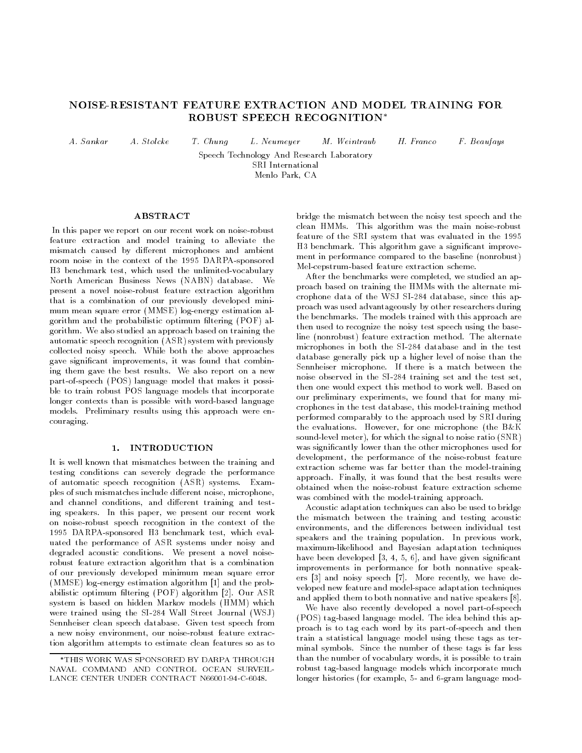# NOISE-RESISTANT FEATURE EXTRACTION AND MODEL TRAINING FOR ROBUST SPEECH RECOGNITION

 $A. Sankar$ 

M. Weintraub A. Sankar A. Stolcke T. Chung L. Neumeyer M. Weintraub H. Franco F. Beaufays

 $H.$  Franco

Speech Technology And Research Laboratory SRI International Menlo Park, CA

### ABSTRACT

 $A. Stolcke$ 

In this paper we report on our recent work on noise-robust feature extraction and model training to alleviate the mismatch caused by different microphones and ambient room noise in the context of the 1995 DARPA-sponsored H3 benchmark test, which used the unlimited-vocabulary North American Business News (NABN) database. We present a novel noise-robust feature extraction algorithm that is a combination of our previously developed mini mum mean square error (MMSE) log-energy estimation algorithm and the probabilistic optimum filtering (POF) algorithm. We also studied an approach based on training the automatic speech recognition (ASR) system with previously collected noisy speech. While both the above approaches gave signicant improvements, it was found that combining them gave the best results. We also report on a new part-of-speech (POS) language model that makes it possible to train robust POS language models that incorporate longer contexts than is possible with word-based language models. Preliminary results using this approach were encouraging.

#### 1. INTRODUCTION  $\mathbf{1}$ .

It is well known that mismatches between the training and testing conditions can severely degrade the performance of automatic speech recognition (ASR) systems. Examples of such mismatches include different noise, microphone, and channel conditions, and different training and testing speakers. In this paper, we present our recent work on noise-robust speech recognition in the context of the 1995 DARPA-sponsored H3 benchmark test, which evaluated the performance of ASR systems under noisy and degraded acoustic conditions. We present a novel noiserobust feature extraction algorithm that is a combination of our previously developed minimum mean square error (MMSE) log-energy estimation algorithm [1] and the probabilistic optimum filtering (POF) algorithm [2]. Our ASR system is based on hidden Markov models (HMM) which were trained using the SI-284 Wall Street Journal (WSJ) Sennheiser clean speech database. Given test speech from a new noisy environment, our noise-robust feature extraction algorithm attempts to estimate clean features so as to bridge the mismatch between the noisy test speech and the clean HMMs. This algorithm was the main noise-robust feature of the SRI system that was evaluated in the 1995 H3 benchmark. This algorithm gave a signicant improve ment in performance compared to the baseline (nonrobust) Mel-cepstrum-based feature extraction scheme.

After the benchmarks were completed, we studied an approach based on training the HMMs with the alternate microphone data of the WSJ SI-284 database, since this approach was used advantageously by other researchers during the benchmarks. The models trained with this approach are then used to recognize the noisy test speech using the baseline (nonrobust) feature extraction method. The alternate microphones in both the SI-284 database and in the test database generally pick up a higher level of noise than the Sennheiser microphone. If there is a match between the noise observed in the SI-284 training set and the test set, then one would expect this method to work well. Based on our preliminary experiments, we found that for many microphones in the test database, this model-training method performed comparably to the approach used by SRI during the evaluations. However, for one microphone (the B&K sound-level meter), for which the signal to noise ratio (SNR) was signicantly lower than the other microphones used for development, the performance of the noise-robust feature extraction scheme was far better than the model-training approach. Finally, it was found that the best results were obtained when the noise-robust feature extraction scheme was combined with the model-training approach.

Acoustic adaptation techniques can also be used to bridge the mismatch between the training and testing acoustic environments, and the differences between individual test speakers and the training population. In previous work, maximum-likelihood and Bayesian adaptation techniques have been developed [3, 4, 5, 6], and have given significant improvements in performance for both nonnative speakers [3] and noisy speech [7]. More recently, we have developed new feature and model-space adaptation techniques and applied them to both nonnative and native speakers [8].

We have also recently developed a novel part-of-speech (POS) tag-based language model. The idea behind this approach is to tag each word by its part-of-speech and then train a statistical language model using these tags as terminal symbols. Since the number of these tags is far less than the number of vocabulary words, it is possible to train robust tag-based language models which incorporate much longer histories (for example, 5- and 6-gram language mod-

THIS WORK WAS SPONSORED BY DARPA THROUGH NAVAL COMMAND AND CONTROL OCEAN SURVEIL-LANCE CENTER UNDER CONTRACT N66001-94-C-6048.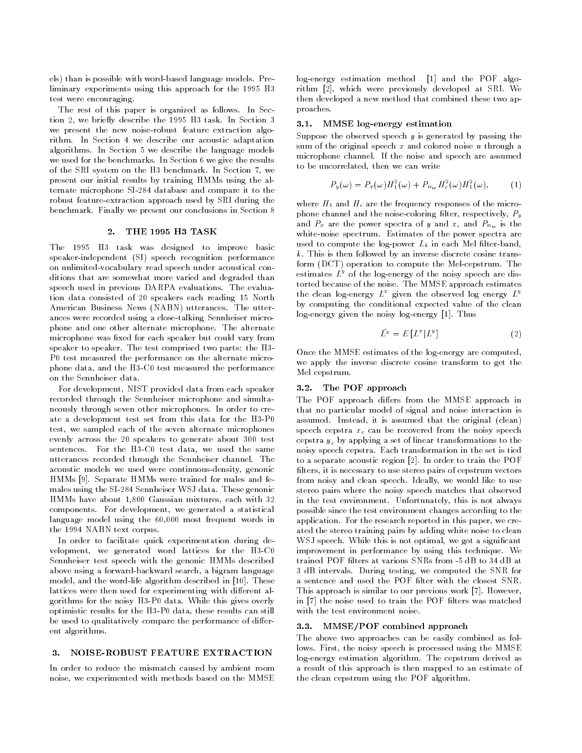els) than is possible with word-based language models. Preliminary experiments using this approach for the 1995 H3 test were encouraging.

The rest of this paper is organized as follows. In Section 2, we briefly describe the 1995 H3 task. In Section 3 we present the new noise-robust feature extraction algorithm. In Section 4 we describe our acoustic adaptation algorithms. In Section 5 we describe the language models we used for the benchmarks. In Section 6 we give the results of the SRI system on the H3 benchmark. In Section 7, we present our initial results by training HMMs using the alternate microphone SI-284 database and compare it to the robust feature-extraction approach used by SRI during the benchmark. Finally we present our conclusions in Section 8

#### $2<sup>1</sup>$ 2. THE 1995 H3 TASK

The 1995 H3 task was designed to improve basic speaker-independent (SI) speech recognition performance on unlimited-vocabulary read speech under acoustical conditions that are somewhat more varied and degraded than speech used in previous DARPA evaluations. The evaluation data consisted of 20 speakers each reading 15 North American Business News (NABN) utterances. The utterances were recorded using a close-talking Sennheiser microphone and one other alternate microphone. The alternate microphone was fixed for each speaker but could vary from speaker to speaker. The test comprised two parts: the H3- P0 test measured the performance on the alternate microphone data, and the H3-C0 test measured the performance on the Sennheiser data.

For development, NIST provided data from each speaker recorded through the Sennheiser microphone and simultaneously through seven other microphones. In order to create a development test set from this data for the H3-P0 test, we sampled each of the seven alternate microphones evenly across the 20 speakers to generate about 300 test sentences. For the H3-C0 test data, we used the same utterances recorded through the Sennheiser channel. The acoustic models we used were continuous-density, genonic HMMs [9]. Separate HMMs were trained for males and females using the SI-284 Sennheiser WSJ data. These genonic HMMs have about 1,800 Gaussian mixtures, each with 32 components. For development, we generated a statistical language model using the 60,000 most frequent words in the 1994 NABN text corpus.

In order to facilitate quick experimentation during development, we generated word lattices for the H3-C0 Sennheiser test speech with the genonic HMMs described above using a forward-backward search, a bigram language model, and the word-life algorithm described in [10]. These lattices were then used for experimenting with different algorithms for the noisy H3-P0 data. While this gives overly optimistic results for the H3-P0 data, these results can still be used to qualitatively compare the performance of different algorithms.

#### 3. NOISE-ROBUST FEATURE EXTRACTION  $3<sub>1</sub>$

In order to reduce the mismatch caused by ambient room noise, we experimented with methods based on the MMSE log-energy estimation method [1] and the POF algorithm [2], which were previously developed at SRI. We then developed a new method that combined these two approaches.

### 3.1. MMSE log-energy estimation

Suppose the observed speech  $y$  is generated by passing the sum of the original speech  $x$  and colored noise  $n$  through a microphone channel. If the noise and speech are assumed to be uncorrelated, then we can write

$$
P_y(\omega) = P_x(\omega)H_1^2(\omega) + P_{n_w}H_c^2(\omega)H_1^2(\omega), \qquad (1)
$$

where  $H_1$  and  $H_c$  are the frequency responses of the microphone channel and the noise-coloring filter, respectively,  $P_y$ and  $P_x$  are the power spectra of y and x, and  $P_{n_w}$  is the white-noise spectrum. Estimates of the power spectra are used to compute the log-power  $L_k$  in each Mel filter-band,  $k$ . This is then followed by an inverse discrete cosine transform (DCT) operation to compute the Mel-cepstrum. The estimates  $L^y$  of the log-energy of the noisy speech are distorted because of the noise. The MMSE approach estimates the clean log-energy  $L^x$  given the observed log energy  $L^y$ by computing the conditional expected value of the clean log-energy given the noisy log-energy [1]. Thus

$$
\hat{L}^x = E\left[L^x | L^y\right] \tag{2}
$$

Once the MMSE estimates of the log-energy are computed, we apply the inverse discrete cosine transform to get the Mel cepstrum.

#### $3.2.$ The POF approach

The POF approach differs from the MMSE approach in that no particular model of signal and noise interaction is assumed. Instead, it is assumed that the original (clean) speech cepstra  $x_c$  can be recovered from the noisy speech cepstra  $y_c$  by applying a set of linear transformations to the noisy speech cepstra. Each transformation in the set is tied to a separate acoustic region [2]. In order to train the POF filters, it is necessary to use stereo pairs of cepstrum vectors from noisy and clean speech. Ideally, we would like to use stereo pairs where the noisy speech matches that observed in the test environment. Unfortunately, this is not always possible since the test environment changes according to the application. For the research reported in this paper, we created the stereo training pairs by adding white noise to clean WSJ speech. While this is not optimal, we got a signicant improvement in performance by using this technique. We trained POF lters at various SNRs from -5 dB to 34 dB at 3 dB intervals. During testing, we computed the SNR for a sentence and used the POF filter with the closest SNR. This approach is similar to our previous work [7]. However, in [7] the noise used to train the POF filters was matched with the test environment noise.

#### 3.3. MMSE/POF combined approach

The above two approaches can be easily combined as follows. First, the noisy speech is processed using the MMSE log-energy estimation algorithm. The cepstrum derived as a result of this approach is then mapped to an estimate of the clean cepstrum using the POF algorithm.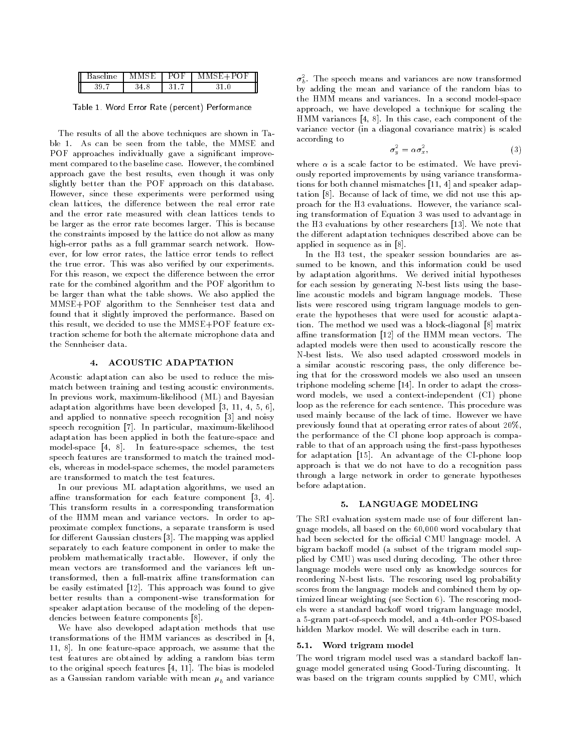| II | DO 1 |  |
|----|------|--|
| II |      |  |

Table 1. Word Error Rate (percent) Performance

The results of all the above techniques are shown in Table 1. As can be seen from the table, the MMSE and POF approaches individually gave a significant improvement compared to the baseline case. However, the combined approach gave the best results, even though it was only slightly better than the POF approach on this database. However, since these experiments were performed using clean lattices, the difference between the real error rate and the error rate measured with clean lattices tends to be larger as the error rate becomes larger. This is because the constraints imposed by the lattice do not allow as many high-error paths as a full grammar search network. However, for low error rates, the lattice error tends to reflect the true error. This was also veried by our experiments. For this reason, we expect the difference between the error rate for the combined algorithm and the POF algorithm to be larger than what the table shows. We also applied the MMSE+POF algorithm to the Sennheiser test data and found that it slightly improved the performance. Based on this result, we decided to use the MMSE+POF feature extraction scheme for both the alternate microphone data and the Sennheiser data.

### 4. ACOUSTIC ADAPTATION

Acoustic adaptation can also be used to reduce the mismatch between training and testing acoustic environments. In previous work, maximum-likelihood (ML) and Bayesian adaptation algorithms have been developed [3, 11, 4, 5, 6], and applied to nonnative speech recognition [3] and noisy speech recognition [7]. In particular, maximum-likelihood adaptation has been applied in both the feature-space and model-space [4, 8]. In feature-space schemes, the test speech features are transformed to match the trained models, whereas in model-space schemes, the model parameters are transformed to match the test features.

In our previous ML adaptation algorithms, we used an affine transformation for each feature component  $[3, 4]$ . This transform results in a corresponding transformation of the HMM mean and variance vectors. In order to approximate complex functions, a separate transform is used for different Gaussian clusters [3]. The mapping was applied separately to each feature component in order to make the problem mathematically tractable. However, if only the mean vectors are transformed and the variances left untransformed, then a full-matrix affine transformation can be easily estimated [12]. This approach was found to give better results than a component-wise transformation for speaker adaptation because of the modeling of the dependencies between feature components [8].

We have also developed adaptation methods that use transformations of the HMM variances as described in [4, 11, 8]. In one feature-space approach, we assume that the test features are obtained by adding a random bias term to the original speech features [4, 11]. The bias is modeled as a Gaussian random variable with mean  $\mu_b$  and variance

 $\sigma_{b}^{-}$ . The speech means and variances are now transformed by adding the mean and variance of the random bias to the HMM means and variances. In a second model-space approach, we have developed a technique for scaling the HMM variances [4, 8]. In this case, each component of the variance vector (in a diagonal covariance matrix) is scaled according to

$$
\sigma_y^2 = \alpha \sigma_x^2, \tag{3}
$$

where  $\alpha$  is a scale factor to be estimated. We have previously reported improvements by using variance transformations for both channel mismatches [11, 4] and speaker adaptation [8]. Because of lack of time, we did not use this approach for the H3 evaluations. However, the variance scaling transformation of Equation 3 was used to advantage in the H3 evaluations by other researchers [13]. We note that the different adaptation techniques described above can be applied in sequence as in [8].

In the H3 test, the speaker session boundaries are assumed to be known, and this information could be used by adaptation algorithms. We derived initial hypotheses for each session by generating N-best lists using the baseline acoustic models and bigram language models. These lists were rescored using trigram language models to generate the hypotheses that were used for acoustic adaptation. The method we used was a block-diagonal [8] matrix affine transformation  $[12]$  of the HMM mean vectors. The adapted models were then used to acoustically rescore the N-best lists. We also used adapted crossword models in a similar acoustic rescoring pass, the only difference being that for the crossword models we also used an unseen triphone modeling scheme [14]. In order to adapt the cross word models, we used a context-independent (CI) phone loop as the reference for each sentence. This procedure was used mainly because of the lack of time. However we have previously found that at operating error rates of about 20%, the performance of the CI phone loop approach is comparable to that of an approach using the first-pass hypotheses for adaptation [15]. An advantage of the CI-phone loop approach is that we do not have to do a recognition pass through a large network in order to generate hypotheses before adaptation.

### 5. LANGUAGE MODELING

The SRI evaluation system made use of four different language models, all based on the 60,000 word vocabulary that had been selected for the official CMU language model. A bigram backoff model (a subset of the trigram model supplied by CMU) was used during decoding. The other three language models were used only as knowledge sources for reordering N-best lists. The rescoring used log probability scores from the language models and combined them by optimized linear weighting (see Section 6). The rescoring models were a standard backoff word trigram language model, a 5-gram part-of-speech model, and a 4th-order POS-based hidden Markov model. We will describe each in turn.

### 5.1. Word trigram model

The word trigram model used was a standard backoff language model generated using Good-Turing discounting. It was based on the trigram counts supplied by CMU, which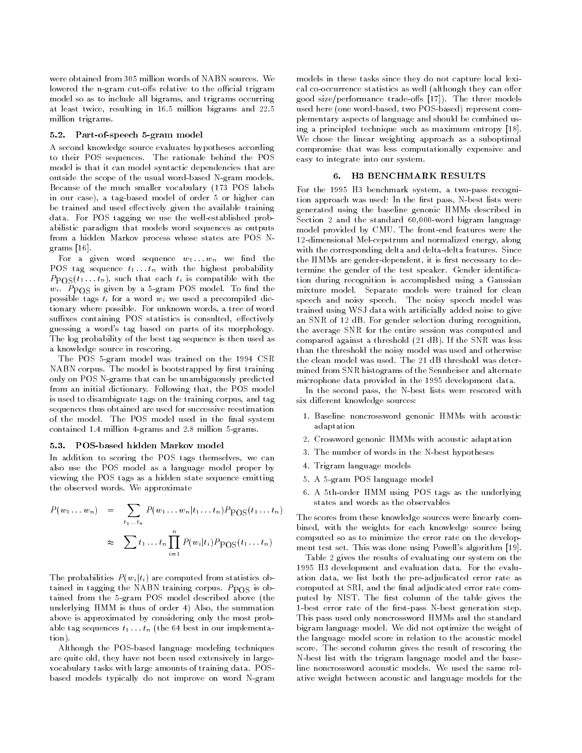were obtained from 305 million words of NABN sources. We lowered the n-gram cut-offs relative to the official trigram model so as to include all bigrams, and trigrams occurring at least twice, resulting in 16.5 million bigrams and 22.5 million trigrams.

### 5.2. Part-of-speech 5-gram model

A second knowledge source evaluates hypotheses according to their POS sequences. The rationale behind the POS model is that it can model syntactic dependencies that are outside the scope of the usual word-based N-gram models. Because of the much smaller vocabulary (173 POS labels in our case), a tag-based model of order 5 or higher can be trained and used effectively given the available training data. For POS tagging we use the well-established probabilistic paradigm that models word sequences as outputs from a hidden Markov process whose states are POS Ngrams [16].

For a given word sequence  $w_1 \ldots w_n$  we find the POS tag sequence  $t_1 \ldots t_n$  with the highest probability  $P_{\text{POS}}(t_1 \ldots t_n)$ , such that each  $t_i$  is compatible with the  $w_i$ .  $P_{\text{POS}}$  is given by a 5-gram POS model. To find the possible tags  $t_i$  for a word  $w_i$  we used a precompiled dictionary where possible. For unknown words, a tree of word suffixes containing POS statistics is consulted, effectively guessing a word's tag based on parts of its morphology. The log probability of the best tag sequence is then used as a knowledge source in rescoring.

The POS 5-gram model was trained on the 1994 CSR NABN corpus. The model is bootstrapped by first training only on POS N-grams that can be unambiguously predicted from an initial dictionary. Following that, the POS model is used to disambiguate tags on the training corpus, and tag sequences thus obtained are used for successive reestimation of the model. The POS model used in the final system contained 1.4 million 4-grams and 2.8 million 5-grams.

#### 5.3. POS-based hidden Markov model

In addition to scoring the POS tags themselves, we can also use the POS model as a language model proper by viewing the POS tags as a hidden state sequence emitting the observed words. We approximate

$$
P(w_1 \dots w_n) = \sum_{t_1 \dots t_n} P(w_1 \dots w_n | t_1 \dots t_n) P_{\text{POS}}(t_1 \dots t_n)
$$
  

$$
\approx \sum_{i=1}^n t_1 \dots t_n \prod_{i=1}^n P(w_i | t_i) P_{\text{POS}}(t_1 \dots t_n)
$$

The probabilities  $P(w_i | t_i)$  are computed from statistics obtained in tagging the NABN training corpus.  $P_{\text{POS}}$  is obtained from the 5-gram POS model described above (the underlying HMM is thus of order 4) Also, the summation above is approximated by considering only the most probable tag sequences  $t_1 \ldots t_n$  (the 64 best in our implementation).

Although the POS-based language modeling techniques are quite old, they have not been used extensively in largevocabulary tasks with large amounts of training data. POSbased models typically do not improve on word N-gram models in these tasks since they do not capture local lexical co-occurrence statistics as well (although they can offer good size/performance trade-offs  $[17]$ ). The three models used here (one word-based, two POS-based) represent complementary aspects of language and should be combined using a principled technique such as maximum entropy [18]. We chose the linear weighting approach as a suboptimal compromise that was less computationally expensive and easy to integrate into our system.

### 6. H3 BENCHMARK RESULTS

For the 1995 H3 benchmark system, a two-pass recognition approach was used: In the first pass, N-best lists were generated using the baseline genonic HMMs described in Section 2 and the standard 60,000-word bigram language model provided by CMU. The front-end features were the 12-dimensional Mel-cepstrum and normalized energy, along with the corresponding delta and delta-delta features. Since the HMMs are gender-dependent, it is first necessary to determine the gender of the test speaker. Gender identication during recognition is accomplished using a Gaussian mixture model. Separate models were trained for clean speech and noisy speech. The noisy speech model was trained using WSJ data with articially added noise to give an SNR of 12 dB. For gender selection during recognition, the average SNR for the entire session was computed and compared against a threshold (21 dB). If the SNR was less than the threshold the noisy model was used and otherwise the clean model was used. The 21 dB threshold was determined from SNR histograms of the Sennheiser and alternate microphone data provided in the 1995 development data.

In the second pass, the N-best lists were rescored with six different knowledge sources:

- 1. Baseline noncrossword genonic HMMs with acoustic adaptation
- 2. Crossword genonic HMMs with acoustic adaptation
- 3. The number of words in the N-best hypotheses
- 4. Trigram language models
- 5. A 5-gram POS language model
- 6. A 5th-order HMM using POS tags as the underlying states and words as the observables

The scores from these knowledge sources were linearly combined, with the weights for each knowledge source being computed so as to minimize the error rate on the develop ment test set. This was done using Powell's algorithm [19].

Table 2 gives the results of evaluating our system on the 1995 H3 development and evaluation data. For the evaluation data, we list both the pre-adjudicated error rate as computed at SRI, and the final adjudicated error rate computed by NIST. The first column of the table gives the 1-best error rate of the first-pass N-best generation step. This pass used only noncrossword HMMs and the standard bigram language model. We did not optimize the weight of the language model score in relation to the acoustic model score. The second column gives the result of rescoring the N-best list with the trigram language model and the baseline noncrossword acoustic models. We used the same relative weight between acoustic and language models for the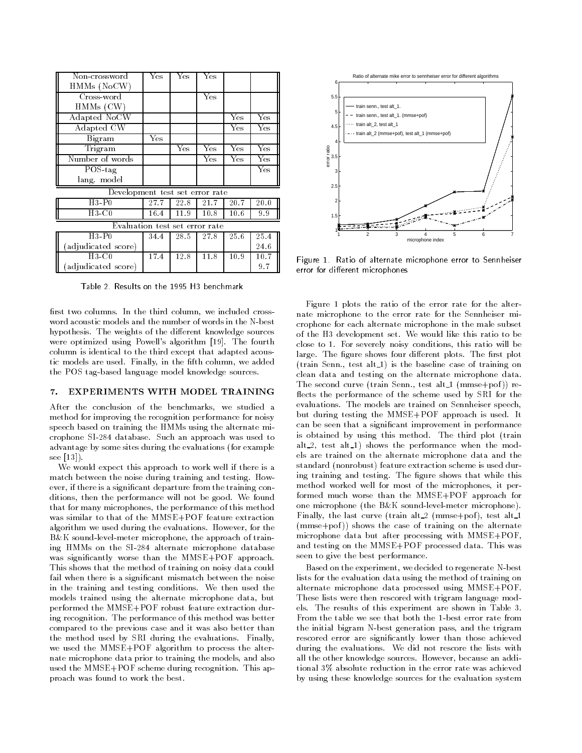| Non-crossword                   | Yes  | Yes  | Yes  |                      |      |  |  |
|---------------------------------|------|------|------|----------------------|------|--|--|
| $HMMs$ (NoCW)                   |      |      |      |                      |      |  |  |
| Cross-word                      |      |      | Yes  |                      |      |  |  |
| $HMMs$ (CW)                     |      |      |      |                      |      |  |  |
| Adapted NoCW                    |      |      |      | Yes                  | Yes  |  |  |
| Adapted CW                      |      |      |      | Yes                  | Yes  |  |  |
| Bigram                          | Yes  |      |      |                      |      |  |  |
| Trigram                         |      | Yes  | Yes  | $\mathrm{\bar{Y}es}$ | Yes  |  |  |
| Number of words                 |      |      | Yes  | Yes                  | Yes  |  |  |
| $\overline{POS}$ -tag           |      |      |      |                      | Yes  |  |  |
| lang. model                     |      |      |      |                      |      |  |  |
| Development test set error rate |      |      |      |                      |      |  |  |
| $H3$ P <sub>0</sub>             | 27.7 | 22.8 | 21.7 | 20.7                 | 20.0 |  |  |
| $H3-C0$                         | 16.4 | 11.9 | 10.8 | 10.6                 | 9.9  |  |  |
| Evaluation test set error rate  |      |      |      |                      |      |  |  |
| $H3$ P <sub>0</sub>             | 34.4 | 28.5 | 27.8 | 25.6                 | 25.4 |  |  |
| (adjudicated score)             |      |      |      |                      | 24.6 |  |  |
| $H3-C0$                         | 17.4 | 12.8 | 11.8 | 10.9                 | 10.7 |  |  |
| adjudicated score)              |      |      |      |                      | 9.7  |  |  |

Table 2. Results on the 1995 H3 benchmark

first two columns. In the third column, we included crossword acoustic models and the number of words in the N-best hypothesis. The weights of the different knowledge sources were optimized using Powell's algorithm [19]. The fourth column is identical to the third except that adapted acoustic models are used. Finally, in the fifth column, we added the POS tag-based language model knowledge sources.

## 7. EXPERIMENTS WITH MODEL TRAINING

After the conclusion of the benchmarks, we studied a method for improving the recognition performance for noisy speech based on training the HMMs using the alternate microphone SI-284 database. Such an approach was used to advantage by some sites during the evaluations (for example see [13]).

We would expect this approach to work well if there is a match between the noise during training and testing. However, if there is a signicant departure from the training conditions, then the performance will not be good. We found that for many microphones, the performance of this method was similar to that of the MMSE+POF feature extraction algorithm we used during the evaluations. However, for the B&K sound-level-meter microphone, the approach of training HMMs on the SI-284 alternate microphone database was signicantly worse than the MMSE+POF approach. This shows that the method of training on noisy data could fail when there is a significant mismatch between the noise in the training and testing conditions. We then used the models trained using the alternate microphone data, but performed the MMSE+POF robust feature extraction during recognition. The performance of this method was better compared to the previous case and it was also better than the method used by SRI during the evaluations. Finally, we used the MMSE+POF algorithm to process the alternate microphone data prior to training the models, and also used the MMSE+POF scheme during recognition. This approach was found to work the best.



Figure 1. Ratio of alternate microphone error to Sennheisererror for different microphones

Figure 1 plots the ratio of the error rate for the alternate microphone to the error rate for the Sennheiser microphone for each alternate microphone in the male subset of the H3 development set. We would like this ratio to be close to 1. For severely noisy conditions, this ratio will be large. The figure shows four different plots. The first plot  $(\text{train Senn.}, \text{test alt-1})$  is the baseline case of training on clean data and testing on the alternate microphone data. The second curve (train Senn., test alt  $1$  (mmse+pof)) reflects the performance of the scheme used by SRI for the evaluations. The models are trained on Sennheiser speech, but during testing the MMSE+POF approach is used. It can be seen that a signicant improvement in performance is obtained by using this method. The third plot (train alt  $2$ , test alt  $1$ ) shows the performance when the models are trained on the alternate microphone data and the standard (nonrobust) feature extraction scheme is used during training and testing. The figure shows that while this method worked well for most of the microphones, it performed much worse than the MMSE+POF approach for one microphone (the B&K sound-level-meter microphone). Finally, the last curve (train alt. 2 (mmse+pof), test alt. 1  $(mmse+pof)$ ) shows the case of training on the alternate microphone data but after processing with MMSE+POF, and testing on the MMSE+POF processed data. This was seen to give the best performance.

Based on the experiment, we decided to regenerate N-best lists for the evaluation data using the method of training on alternate microphone data processed using MMSE+POF. These lists were then rescored with trigram language models. The results of this experiment are shown in Table 3. From the table we see that both the 1-best error rate from the initial bigram N-best generation pass, and the trigram rescored error are signicantly lower than those achieved during the evaluations. We did not rescore the lists with all the other knowledge sources. However, because an additional 3% absolute reduction in the error rate was achieved by using these knowledge sources for the evaluation system